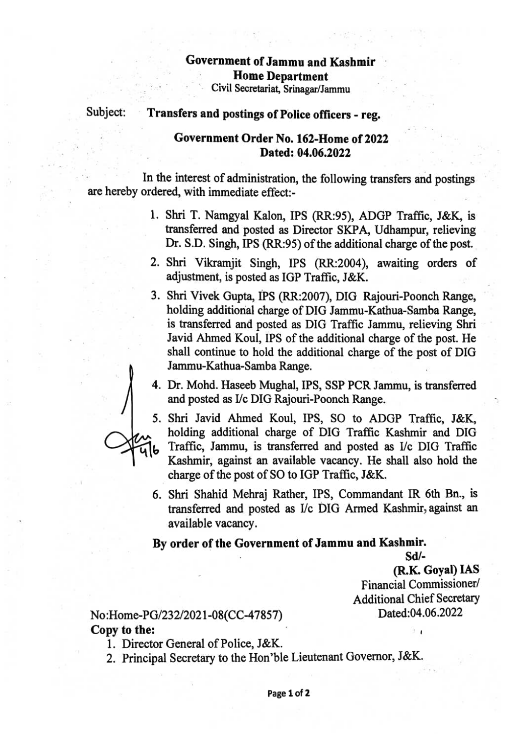### Government ofJammu and Kashmir Home Department Civil Secretariat, Srinagar/Jammu

# Subject: Transfers and postings of Police officers - reg.

### Government Order No. 162-Home of 2022 Dated: 04.06.2022

In the interest of administration, the following transfers and postings are hereby ordered, with immediate effect:

- 1. Shri T. Namgyal Kalon, IPS (RR:95), ADGP Traffic, J&K, is transferred and posted as Director SKPA, Udhampur, relieving Dr. S.D. Singh, IPS (RR:95) of the additional charge of the post.
- 2. Shri Vikramjit Singh, IPS (RR:2004), awaiting orders of adjustment, is posted as IGP Traffic, J&K.
- 3. Shri Vivek Gupta, IPs (RR:2007), DIG Rajouri-Poonch Range, holding additional charge of DIG Jammu-Kathua-Samba Range, is transferred and posted as DIG Traffic Jammu, relieving Shri Javid Ahmed Koul, IPS of the additional charge of the post. He shall continue to hold the additional charge of the post of DIG Jammu-Kathua-Samba Range.
- 4. Dr. Mohd. Haseeb Mughal, IPS, SSP PCR Jammu, is transferred and posted as I/c DIG Rajouri-Poonch Range.



6. Shri Shahid Mehraj Rather, IPS, Commandant IR 6th Bn., is transferred and posted as I/c DIG Armed Kashmir, against an available vacancy.

#### By order of the Government of Jammu and Kashmir.

Sd/ (R.K. Goyal) IAS Financial Commissioner/ Additional Chief Secretary

# No:Home-PG/232/2021-08(CC-47857) Dated:04.06.2022 Copy to the:

- 1. Director General of Police, J&K.
- 2. Principal Secretary to the Hon'ble Lieutenant Governor, J&K.